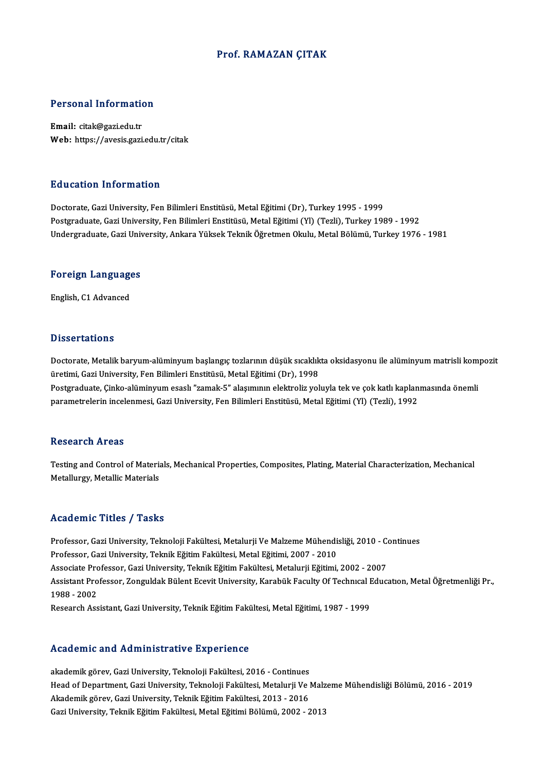### Prof. RAMAZAN ÇITAK

### Personal Information

Email: citak@gazi.edu.tr Web: https://avesis.gazi.edu.tr/citak

#### Education Information

Doctorate, Gazi University, Fen Bilimleri Enstitüsü, Metal Eğitimi (Dr), Turkey 1995 - 1999 Postgraduate, Gazi University, Fen Bilimleri Enstitüsü, Metal Eğitimi (Yl) (Tezli), Turkey 1989 - 1992 Undergraduate, Gazi University, Ankara Yüksek Teknik Öğretmen Okulu, Metal Bölümü, Turkey 1976 - 1981

# <sub>ondergraduate, Gazi oni<br>Foreign Languages</sub> <mark>Foreign Languag</mark>e<br>English, C1 Advanced

English, C1 Advanced<br>Dissertations

Dissertations<br>Doctorate, Metalik baryum-alüminyum başlangıç tozlarının düşük sıcaklıkta oksidasyonu ile alüminyum matrisli kompozit<br>Üretimi, Cari University, Fen Bilimleri Enstitüsü, Metal Fătimi (Dr.), 1998 üretimi, Gazi University, Fen Bilimleri Enstitüsü, Metal Eğitimi (Dr), 1998<br>Postgraduate, Çinko-alüminyum esaslı "zamak-5" alaşımının elektroliz yoluyla tek ve çok katlı kaplanmasında önemli Doctorate, Metalik baryum-alüminyum başlangıç tozlarının düşük sıcaklıkta oksidasyonu ile alüminyum matrisli kom<br>üretimi, Gazi University, Fen Bilimleri Enstitüsü, Metal Eğitimi (Dr), 1998<br>Postgraduate, Çinko-alüminyum esa parametrelerin incelenmesi, Gazi University, Fen Bilimleri Enstitüsü, Metal Eğitimi (Yl) (Tezli), 1992

#### **Research Areas**

Research Areas<br>Testing and Control of Materials, Mechanical Properties, Composites, Plating, Material Characterization, Mechanical<br>Metallyngy, Metallia Metarials Rebear en 111 eas<br>Testing and Control of Materia<br>Metallurgy, Metallic Materials Metallurgy, Metallic Materials<br>Academic Titles / Tasks

Professor, Gazi University, Teknoloji Fakültesi, Metalurji Ve Malzeme Mühendisliği, 2010 - Continues Professor, Gazi University, Teknik Eğitim Fakültesi, Metal Eğitimi, 2007 - 2010 Professor, Gazi University, Teknoloji Fakültesi, Metalurji Ve Malzeme Mühendisliği, 2010 - Confessor, Gazi University, Teknik Eğitim Fakültesi, Metal Eğitimi, 2007 - 2010<br>Associate Professor, Gazi University, Teknik Eğitim Professor, Gazi University, Teknik Eğitim Fakültesi, Metal Eğitimi, 2007 - 2010<br>Associate Professor, Gazi University, Teknik Eğitim Fakültesi, Metalurji Eğitimi, 2002 - 2007<br>Assistant Professor, Zonguldak Bülent Ecevit Uni Associate Pro<br>Assistant Pro<br>1988 - 2002<br>Besearsh Ass Assistant Professor, Zonguldak Bülent Ecevit University, Karabük Faculty Of Technıcal I<br>1988 - 2002<br>Research Assistant, Gazi University, Teknik Eğitim Fakültesi, Metal Eğitimi, 1987 - 1999 Research Assistant, Gazi University, Teknik Eğitim Fakültesi, Metal Eğitimi, 1987 - 1999<br>Academic and Administrative Experience

akademik görev, Gazi University, Teknoloji Fakültesi, 2016 - Continues Head office and Hammson anve Imperience<br>akademik görev, Gazi University, Teknoloji Fakültesi, 2016 - Continues<br>Head of Department, Gazi University, Teknoloji Fakültesi, Metalurji Ve Malzeme Mühendisliği Bölümü, 2016 - 2019 akademik görev, Gazi University, Teknoloji Fakültesi, 2016 - Continues<br>Head of Department, Gazi University, Teknoloji Fakültesi, Metalurji Ve l<br>Akademik görev, Gazi University, Teknik Eğitim Fakültesi, 2013 - 2016<br>Cari Uni Head of Department, Gazi University, Teknoloji Fakültesi, Metalurji Ve Malz<br>Akademik görev, Gazi University, Teknik Eğitim Fakültesi, 2013 - 2016<br>Gazi University, Teknik Eğitim Fakültesi, Metal Eğitimi Bölümü, 2002 - 2013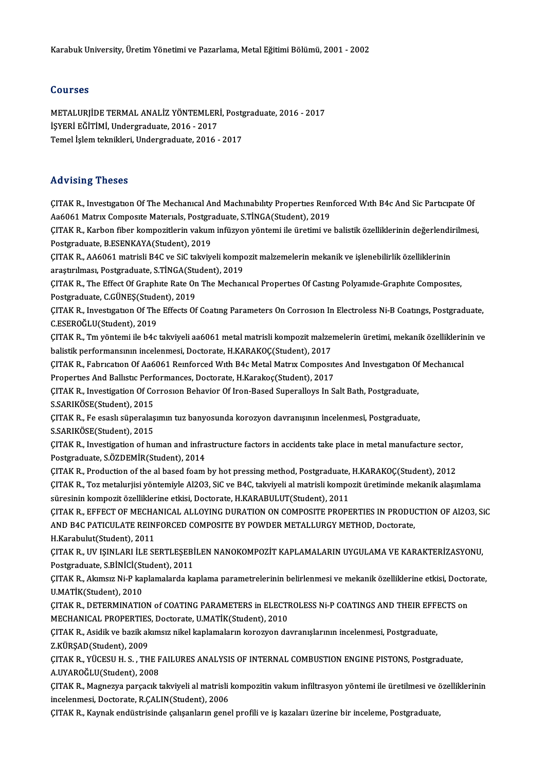### Courses

METALURJİDETERMALANALİZ YÖNTEMLERİ,Postgraduate,2016 -2017 İŞYERİ EĞİTİMİ, Undergraduate, 2016 - 2017 Temel İşlem teknikleri, Undergraduate, 2016 - 2017

### Advising Theses

Advising Theses<br>ÇITAK R., Investıgatıon Of The Mechanıcal And Machınabılıty Properties Reinforced With B4c And Sic Participate Of<br>A96061 Matrix Composite Materials Postareduste S.T.N.C A(Student), 2019 --a vienig "Incece"<br>ÇITAK R., Investigation Of The Mechanical And Machinability Properties Rein<br>Aa6061 Matrix Composite Materials, Postgraduate, S.TİNGA(Student), 2019<br>CITAK R., Karbon fiber kompositlerin valum infüsisen v ÇITAK R., Investigation Of The Mechanical And Machinability Properties Reinforced With B4c And Sic Participate Of<br>Aa6061 Matrix Composite Materials, Postgraduate, S.TİNGA(Student), 2019<br>ÇITAK R., Karbon fiber kompozitlerin Aa6061 Matrix Composite Materials, Postgraduate, S.TİNGA(Student), 2019<br>ÇITAK R., Karbon fiber kompozitlerin vakum infüzyon yöntemi ile üretimi ve<br>Postgraduate, B.ESENKAYA(Student), 2019 ÇITAK R., Karbon fiber kompozitlerin vakum infüzyon yöntemi ile üretimi ve balistik özelliklerinin değerlendi<br>Postgraduate, B.ESENKAYA(Student), 2019<br>ÇITAK R., AA6061 matrisli B4C ve SiC takviyeli kompozit malzemelerin mek ÇITAK R., AA6061 matrisli B4C ve SiC takviyeli kompozit malzemelerin mekanik ve işlenebilirlik özelliklerinin ÇITAK R., AA6061 matrisli B4C ve SiC takviyeli kompozit malzemelerin mekanik ve işlenebilirlik özelliklerinin<br>araştırılması, Postgraduate, S.TİNGA(Student), 2019<br>ÇITAK R., The Effect Of Graphıte Rate On The Mechanıcal Prop araștirilmasi, Postgraduate, S.TİNGA(Student), 2019<br>ÇITAK R., The Effect Of Graphite Rate On The Mechanical Properties Of Casting Polyamide-Graphite Composites,<br>Postgraduate, C.GÜNEŞ(Student), 2019<br>ÇITAK R., Investigation ÇITAK R., The Effect Of Graphite Rate On The Mechanical Properties Of Casting Polyamide-Graphite Composites,<br>Postgraduate, C.GÜNEŞ(Student), 2019<br>ÇITAK R., Investigation Of The Effects Of Coating Parameters On Corrosion In C.ESEROĞLU(Student),2019 ÇITAK R., Investigation Of The Effects Of Coating Parameters On Corrosion In Electroless Ni-B Coatings, Postgraduate,<br>C.ESEROĞLU(Student), 2019<br>ÇITAK R., Tm yöntemi ile b4c takviyeli aa6061 metal matrisli kompozit malzemel C.ESEROĞLU(Student), 2019<br>ÇITAK R., Tm yöntemi ile b4c takviyeli aa6061 metal matrisli kompozit malze:<br>balistik performansının incelenmesi, Doctorate, H.KARAKOÇ(Student), 2017<br>CITAK R., Fabrısatıon Of Aa6061 Boınforsed Wit ÇITAK R., Tm yöntemi ile b4c takviyeli aa6061 metal matrisli kompozit malzemelerin üretimi, mekanik özelliklerir<br>balistik performansının incelenmesi, Doctorate, H.KARAKOÇ(Student), 2017<br>ÇITAK R., Fabrıcatıon Of Aa6061 Reın balistik performansının incelenmesi, Doctorate, H.KARAKOÇ(Student), 2017<br>ÇITAK R., Fabrıcation Of Aa6061 Reinforced With B4c Metal Matrix Composition<br>Properties And Ballistic Performances, Doctorate, H.Karakoç(Student), 20 CITAK R., Fabrication Of Aa6061 Reinforced With B4c Metal Matrix Composites And Investigation Of<br>Properties And Ballistic Performances, Doctorate, H.Karakoç(Student), 2017<br>CITAK R., Investigation Of Corrosion Behavior Of I Properties And Ballistic Perf<br>ÇITAK R., Investigation Of Co<br>S.SARIKÖSE(Student), 2015<br>CITAK P., Es essel: sünaralas ÇITAK R., Investigation Of Corrosion Behavior Of Iron-Based Superalloys In Salt Bath, Postgraduate,<br>S.SARIKÖSE(Student), 2015<br>ÇITAK R., Fe esaslı süperalaşımın tuz banyosunda korozyon davranışının incelenmesi, Postgraduate S.SARIKÖSE(Student), 2015<br>ÇITAK R., Fe esaslı süperalaş<br>S.SARIKÖSE(Student), 2015<br>CITAK B. Investisation of bu ÇITAK R., Fe esaslı süperalaşımın tuz banyosunda korozyon davranışının incelenmesi, Postgraduate,<br>S.SARIKÖSE(Student), 2015<br>ÇITAK R., Investigation of human and infrastructure factors in accidents take place in metal manuf S.SARIKÖSE(Student), 2015<br>ÇITAK R., Investigation of human and infra<br>Postgraduate, S.ÖZDEMİR(Student), 2014<br>CITAK P., Preduction of the al based foam ÇITAK R., Investigation of human and infrastructure factors in accidents take place in metal manufacture sector<br>Postgraduate, S.ÖZDEMİR(Student), 2014<br>ÇITAK R., Production of the al based foam by hot pressing method, Postg Postgraduate, S.ÖZDEMİR(Student), 2014<br>ÇITAK R., Production of the al based foam by hot pressing method, Postgraduate, H.KARAKOÇ(Student), 2012<br>ÇITAK R., Toz metalurjisi yöntemiyle Al2O3, SiC ve B4C, takviyeli al matrisli CITAK R., Production of the al based foam by hot pressing method, Postgraduate,<br>CITAK R., Toz metalurjisi yöntemiyle Al2O3, SiC ve B4C, takviyeli al matrisli kompo<br>süresinin kompozit özelliklerine etkisi, Doctorate, H.KARA ÇITAK R., Toz metalurjisi yöntemiyle Al2O3, SiC ve B4C, takviyeli al matrisli kompozit üretiminde mekanik alaşımlama<br>süresinin kompozit özelliklerine etkisi, Doctorate, H.KARABULUT(Student), 2011<br>ÇITAK R., EFFECT OF MECHAN süresinin kompozit özelliklerine etkisi, Doctorate, H.KARABULUT(Student), 2011<br>ÇITAK R., EFFECT OF MECHANICAL ALLOYING DURATION ON COMPOSITE PROPERTIES IN PRODU(<br>AND B4C PATICULATE REINFORCED COMPOSITE BY POWDER METALLURGY CITAK R., EFFECT OF MECHA<br>AND B4C PATICULATE REIN<br>H.Karabulut(Student), 2011<br>CITAK B., IIV ISINI ABLİLE SI AND B4C PATICULATE REINFORCED COMPOSITE BY POWDER METALLURGY METHOD, Doctorate,<br>H.Karabulut(Student), 2011<br>ÇITAK R., UV IŞINLARI İLE SERTLEŞEBİLEN NANOKOMPOZİT KAPLAMALARIN UYGULAMA VE KARAKTERİZASYONU,<br>Postsraduate S PİNİ H.Karabulut(Student), 2011<br>ÇITAK R., UV IŞINLARI İLE SERTLEŞEBİ<br>Postgraduate, S.BİNİCİ(Student), 2011<br>ÇITAK B., Alamay Ni B.kaplamalarda ka ÇITAK R., UV IŞINLARI İLE SERTLEŞEBİLEN NANOKOMPOZİT KAPLAMALARIN UYGULAMA VE KARAKTERİZASYONU,<br>Postgraduate, S.BİNİCİ(Student), 2011<br>ÇITAK R., Akımsız Ni-P kaplamalarda kaplama parametrelerinin belirlenmesi ve mekanik öze Postgraduate, S.BİNİCİ(Student), 2011<br>ÇITAK R., Akımsız Ni-P kaplamalarda kaplama parametrelerinin belirlenmesi ve mekanik özelliklerine etkisi, Doctorate,<br>U.MATİK(Student), 2010 ÇITAK R., Akımsız Ni-P kaplamalarda kaplama parametrelerinin belirlenmesi ve mekanik özelliklerine etkisi, Docto<br>U.MATİK(Student), 2010<br>ÇITAK R., DETERMINATION of COATING PARAMETERS in ELECTROLESS Ni-P COATINGS AND THEIR E U.MATİK(Student), 2010<br>ÇITAK R., DETERMINATION of COATING PARAMETERS in ELECTI<br>MECHANICAL PROPERTIES, Doctorate, U.MATİK(Student), 2010<br>CITAK R., Asidik ve başik olumaya pikel konlamaların konegyen da ÇITAK R., DETERMINATION of COATING PARAMETERS in ELECTROLESS Ni-P COATINGS AND THEIR EFFI<br>MECHANICAL PROPERTIES, Doctorate, U.MATİK(Student), 2010<br>ÇITAK R., Asidik ve bazik akımsız nikel kaplamaların korozyon davranışların MECHANICAL PROPERTIES, Doctorate, U.MATİK(Student), 2010<br>ÇITAK R., Asidik ve bazik akımsız nikel kaplamaların korozyon davranışlarının incelenmesi, Postgraduate,<br>Z.KÜRŞAD(Student), 2009 ÇITAKR.,YÜCESUH.S. ,THEFAILURESANALYSISOF INTERNAL COMBUSTIONENGINEPISTONS,Postgraduate, A.UYAROĞLU(Student),2008 ÇITAK R., YÜCESU H. S. , THE FAILURES ANALYSIS OF INTERNAL COMBUSTION ENGINE PISTONS, Postgraduate,<br>A.UYAROĞLU(Student), 2008<br>ÇITAK R., Magnezya parçacık takviyeli al matrisli kompozitin vakum infiltrasyon yöntemi ile üret A.UYAROĞLU(Student), 2008<br>ÇITAK R., Magnezya parçacık takviyeli al matrisli<br>incelenmesi, Doctorate, R.ÇALIN(Student), 2006<br>CITAK R., Kaynak ondüstrisinde salışanların gene ÇITAK R., Magnezya parçacık takviyeli al matrisli kompozitin vakum infiltrasyon yöntemi ile üretilmesi ve ö<br>incelenmesi, Doctorate, R.ÇALIN(Student), 2006<br>ÇITAK R., Kaynak endüstrisinde çalışanların genel profili ve iş kaz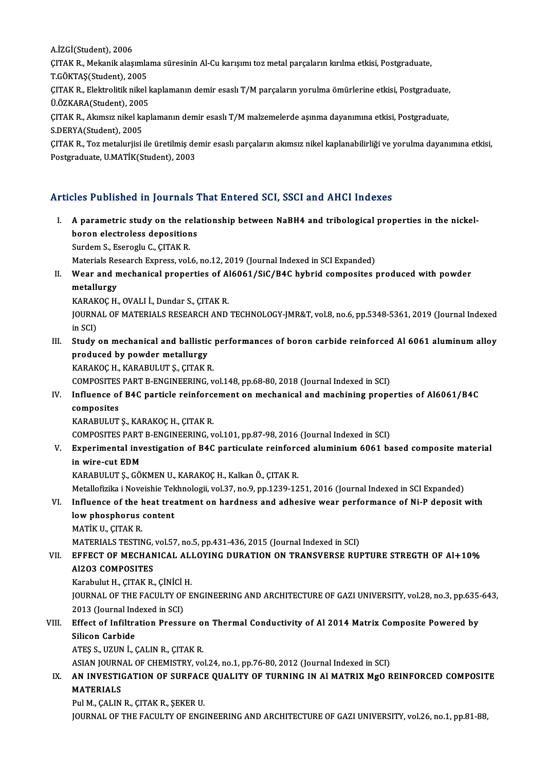A.İZGİ(Student),2006

A.İZGİ(Student), 2006<br>ÇITAK R., Mekanik alaşımlama süresinin Al-Cu karışımı toz metal parçaların kırılma etkisi, Postgraduate,<br>T.GÖKTAS(Student), 2005 A.İZGİ(Student), 2006<br>ÇITAK R., Mekanik alaşımla<br>T.GÖKTAŞ(Student), 2005<br>CITAK B., Flaktralitik pikal

ÇITAK R., Mekanik alaşımlama süresinin Al-Cu karışımı toz metal parçaların kırılma etkisi, Postgraduate,<br>T.GÖKTAŞ(Student), 2005<br>ÇITAK R., Elektrolitik nikel kaplamanın demir esaslı T/M parçaların yorulma ömürlerine etkisi T.GÖKTAŞ(Student), 2005<br>ÇITAK R., Elektrolitik nikel l<br>Ü.ÖZKARA(Student), 2005<br>CITAK B., Alamew nikel kan

ÇITAK R., Elektrolitik nikel kaplamanın demir esaslı T/M parçaların yorulma ömürlerine etkisi, Postgraduate,<br>Ü.ÖZKARA(Student), 2005<br>ÇITAK R., Akımsız nikel kaplamanın demir esaslı T/M malzemelerde aşınma dayanımına etkisi Ü.ÖZKARA(Student), 2005<br>ÇITAK R., Akımsız nikel kaplamanın demir esaslı T/M malzemelerde aşınma dayanımına etkisi, Postgraduate,<br>S.DERYA(Student), 2005 ÇITAK R., Akımsız nikel kaplamanın demir esaslı T/M malzemelerde aşınma dayanımına etkisi, Postgraduate,<br>S.DERYA(Student), 2005<br>ÇITAK R., Toz metalurjisi ile üretilmiş demir esaslı parçaların akımsız nikel kaplanabilirliği

S.DERYA(Student), 2005<br>ÇITAK R., Toz metalurjisi ile üretilmiş de<br>Postgraduate, U.MATİK(Student), 2003

# Postgraduate, U.MATİK(Student), 2003<br>Articles Published in Journals That Entered SCI, SSCI and AHCI Indexes

I. A parametric study on the relationship between NaBH4 and AHCI Indexes<br>I. A parametric study on the relationship between NaBH4 and tribological properties in the nickel-<br>hange electrology depositions boron electroless depositions<br>boron electroless depositions<br>Surdom S. Escreely C. CITAV P. A parametric study on the re<br>boron electroless deposition<br>Surdem S., Eseroglu C., ÇITAK R.<br>Materials Bessarsh Eunress vol. boron electroless depositions<br>Surdem S., Eseroglu C., ÇITAK R.<br>Materials Research Express, vol.6, no.12, 2019 (Journal Indexed in SCI Expanded)

Surdem S., Eseroglu C., ÇITAK R.<br>Materials Research Express, vol.6, no.12, 2019 (Journal Indexed in SCI Expanded)<br>II. Wear and mechanical properties of Al6061/SiC/B4C hybrid composites produced with powder<br>metallyngy Materials Res<br>Wear and n<br>metallurgy<br>KARAKOC H Wear and mechanical properties of A.<br>metallurgy<br>KARAKOÇ H., OVALI İ., Dundar S., ÇITAK R.<br>JOUPNAL OF MATERIALS RESEARCH AND

KARAKOÇ H., OVALI İ., Dundar S., ÇITAK R.

metallurgy<br>KARAKOÇ H., OVALI İ., Dundar S., ÇITAK R.<br>JOURNAL OF MATERIALS RESEARCH AND TECHNOLOGY-JMR&T, vol.8, no.6, pp.5348-5361, 2019 (Journal Indexed<br>in SCI) JOURNAL OF MATERIALS RESEARCH AND TECHNOLOGY-JMR&T, vol.8, no.6, pp.5348-5361, 2019 (Journal Indexed<br>in SCI)<br>III. Study on mechanical and ballistic performances of boron carbide reinforced Al 6061 aluminum alloy<br>produced b

in SCI)<br>Study on mechanical and ballistic<br>produced by powder metallurgy<br>KARAKOC H. KARABULUTS, CITAK E Study on mechanical and ballistic<br>produced by powder metallurgy<br>KARAKOÇ H., KARABULUT Ş., ÇITAK R.<br>COMPOSITES BART P ENCINEERING... produced by powder metallurgy<br>KARAKOÇ H., KARABULUT Ş., ÇITAK R.<br>COMPOSITES PART B-ENGINEERING, vol.148, pp.68-80, 2018 (Journal Indexed in SCI)

## KARAKOÇ H., KARABULUT Ş., ÇITAK R.<br>COMPOSITES PART B-ENGINEERING, vol.148, pp.68-80, 2018 (Journal Indexed in SCI)<br>IV. Influence of B4C particle reinforcement on mechanical and machining properties of Al6061/B4C<br>composites COMPOSITES<br>Influence of<br>composites<br>KARABIH UT Influence of B4C particle reinforce<br>composites<br>KARABULUT Ş., KARAKOÇ H., ÇITAK R.<br>COMPOSITES BART P ENCINEERINC composites<br>KARABULUT Ș., KARAKOÇ H., ÇITAK R.<br>COMPOSITES PART B-ENGINEERING, vol.101, pp.87-98, 2016 (Journal Indexed in SCI)<br>Eunonimental investigation of P4C pertisulate reinforeed aluminium 6061 he

KARABULUT Ș., KARAKOÇ H., ÇITAK R.<br>COMPOSITES PART B-ENGINEERING, vol.101, pp.87-98, 2016 (Journal Indexed in SCI)<br>V. Experimental investigation of B4C particulate reinforced aluminium 6061 based composite material<br>in COMPOSITES PART<br>Experimental inv<br>in wire-cut EDM<br>KARAPIU UTS CÔ Experimental investigation of B4C particulate reinforc<br>in wire-cut EDM<br>KARABULUT Ş., GÖKMEN U., KARAKOÇ H., Kalkan Ö., ÇITAK R.<br>Metallofizika i Novajshiq Takhnologji val 37 no 9 nn 1330 13 in wire-cut EDM<br>KARABULUT Ș., GÖKMEN U., KARAKOÇ H., Kalkan Ö., ÇITAK R.<br>Metallofizika i Noveishie Tekhnologii, vol.37, no.9, pp.1239-1251, 2016 (Journal Indexed in SCI Expanded)

## KARABULUT Ş., GÖKMEN U., KARAKOÇ H., Kalkan Ö., ÇITAK R.<br>Metallofizika i Noveishie Tekhnologii, vol.37, no.9, pp.1239-1251, 2016 (Journal Indexed in SCI Expanded)<br>VI. Influence of the heat treatment on hardness and adhesiv Metallofizika i Noveishie Tek<br>Influence of the heat trea<br>Iow phosphorus content<br>MATIK U. CITAK P **Influence of the h<br>low phosphorus<br>MATİK U., ÇITAK R.<br>MATEPIALS TESTIN** low phosphorus content<br>MATİK U., ÇITAK R.<br>MATERIALS TESTING, vol.57, no.5, pp.431-436, 2015 (Journal Indexed in SCI)

# VI . EFFECT OF MECHANICAL ALLOYING DURATION ON TRANSVERSE RUPTURE STREGTH OF Al+10% MATERIALS TESTING,<br>EFFECT OF MECHAN<br>Al2O3 COMPOSITES<br>Karabulut H. CITAK P. EFFECT OF MECHANICAL ALI<br>Al2O3 COMPOSITES<br>Karabulut H., ÇITAK R., ÇİNİCİ H.<br>IQUPNAL OF THE FACULTY OF F

Al2O3 COMPOSITES<br>Karabulut H., ÇITAK R., ÇİNİCİ H.<br>JOURNAL OF THE FACULTY OF ENGINEERING AND ARCHITECTURE OF GAZI UNIVERSITY, vol.28, no.3, pp.635-643,<br>2013 (Journal Indoved in SCI) Karabulut H., ÇITAK R., ÇİNİCİ<br>JOURNAL OF THE FACULTY OF<br>2013 (Journal Indexed in SCI)<br>Fffect of Infiltration Proceu JOURNAL OF THE FACULTY OF ENGINEERING AND ARCHITECTURE OF GAZI UNIVERSITY, vol.28, no.3, pp.635-<br>2013 (Journal Indexed in SCI)<br>VIII. Effect of Infiltration Pressure on Thermal Conductivity of Al 2014 Matrix Composite Power

# 2013 (Journal Inc<br>Effect of Infiltra<br>Silicon Carbide<br>ATES S. UZUN İ. ( Effect of Infiltration Pressure o<br>Silicon Carbide<br>ATEŞ S., UZUN İ., ÇALIN R., ÇITAK R.<br>ASIAN IQUENAL OF CHEMISTEV YO Silicon Carbide<br>ATEŞ S., UZUN İ., ÇALIN R., ÇITAK R.<br>ASIAN JOURNAL OF CHEMISTRY, vol.24, no.1, pp.76-80, 2012 (Journal Indexed in SCI)<br>AN INVESTIC ATION OF SURFACE QUALITY OF TURNING IN ALMATRIY MCO R

## ATEŞ S., UZUN İ., ÇALIN R., ÇITAK R.<br>ASIAN JOURNAL OF CHEMISTRY, vol.24, no.1, pp.76-80, 2012 (Journal Indexed in SCI)<br>IX. AN INVESTIGATION OF SURFACE QUALITY OF TURNING IN Al MATRIX MgO REINFORCED COMPOSITE<br>MATERIALS ASIAN JOURN.<br><mark>AN INVESTIO</mark><br>MATERIALS<br><sup>Dul M</sup>-CALIN AN INVESTIGATION OF SURFACI<br>MATERIALS<br>Pul M., ÇALIN R., ÇITAK R., ŞEKER U.<br>JOUPMAL OF THE FACULTY OF ENCI MATERIALS<br>Pul M., ÇALIN R., ÇITAK R., ŞEKER U.<br>JOURNAL OF THE FACULTY OF ENGINEERING AND ARCHITECTURE OF GAZI UNIVERSITY, vol.26, no.1, pp.81-88,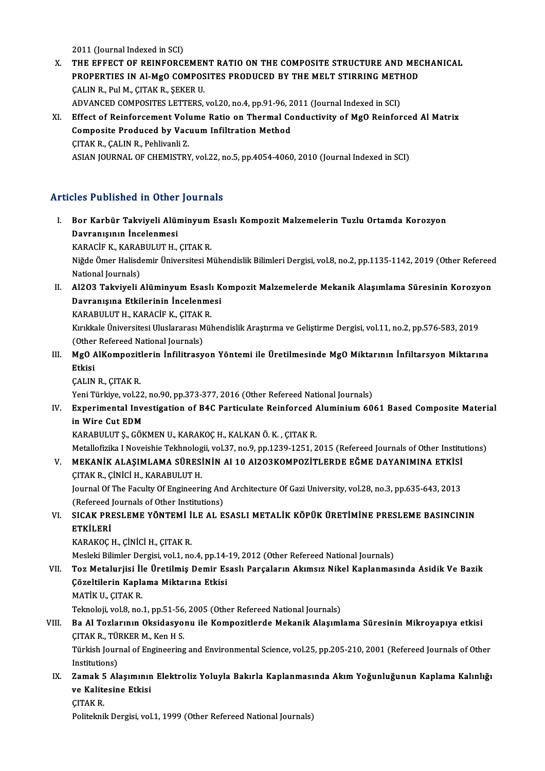2011 (Journal Indexed in SCI)

2011 (Journal Indexed in SCI)<br>X. THE EFFECT OF REINFORCEMENT RATIO ON THE COMPOSITE STRUCTURE AND MECHANICAL<br>REOPERTIES IN ALMO COMPOSITES PRODUCED BY THE MELT STIRRING METHOD 2011 (Journal Indexed in SCI)<br>THE EFFECT OF REINFORCEMENT RATIO ON THE COMPOSITE STRUCTURE AND MECT<br>PROPERTIES IN Al-MgO COMPOSITES PRODUCED BY THE MELT STIRRING METHOD<br>CALIN R. Pul M. CITAK R. SEKER II THE EFFECT OF REINFORCEMEN<br>PROPERTIES IN Al-MgO COMPOS<br>ÇALIN R., Pul M., ÇITAK R., ŞEKER U.<br>ADVANCED COMPOSITES I ETTEDS PROPERTIES IN Al-MgO COMPOSITES PRODUCED BY THE MELT STIRRING METH<br>CALIN R., Pul M., CITAK R., SEKER U.<br>ADVANCED COMPOSITES LETTERS, vol.20, no.4, pp.91-96, 2011 (Journal Indexed in SCI)<br>Effect of Beinforsoment Volume Bati CALIN R., Pul M., ÇITAK R., ŞEKER U.<br>ADVANCED COMPOSITES LETTERS, vol.20, no.4, pp.91-96, 2011 (Journal Indexed in SCI)<br>XI. Effect of Reinforcement Volume Ratio on Thermal Conductivity of MgO Reinforced Al Matrix

ADVANCED COMPOSITES LETTERS, vol.20, no.4, pp.91-96, 2<br>Effect of Reinforcement Volume Ratio on Thermal Co<br>Composite Produced by Vacuum Infiltration Method<br>CITAK R. CALIN R. Poblivanli 7 Composite Produced by Vacuum Infiltration Method<br>CITAK R., CALIN R., Pehlivanli Z. ASIAN JOURNAL OF CHEMISTRY, vol.22, no.5, pp.4054-4060, 2010 (Journal Indexed in SCI)

### Articles Published in Other Journals

rticles Published in Other Journals<br>I. Bor Karbür Takviyeli Alüminyum Esaslı Kompozit Malzemelerin Tuzlu Ortamda Korozyon<br>Dovranısının İnselenmesi Davranışının Öster<br>Bor Karbür Takviyeli Alür<br>Davranışının İncelenmesi<br>KARAÇİE K. KARAPILLITH Bor Karbür Takviyeli Alüminyum<br>Davranışının İncelenmesi<br>KARACİF K., KARABULUT H., ÇITAK R.<br><sup>Nižde Ömer Helisdemir Üniversitesi M</sup> Davranışının İncelenmesi<br>KARACİF K., KARABULUT H., ÇITAK R.<br>Niğde Ömer Halisdemir Üniversitesi Mühendislik Bilimleri Dergisi, vol.8, no.2, pp.1135-1142, 2019 (Other Refereed KARACİF K., KARAI<br>Niğde Ömer Halisd<br>National Journals)<br>Al2O2 Talvürali Niğde Ömer Halisdemir Üniversitesi Mühendislik Bilimleri Dergisi, vol.8, no.2, pp.1135-1142, 2019 (Other Refereed<br>National Journals)<br>II. Al2O3 Takviyeli Alüminyum Esaslı Kompozit Malzemelerde Mekanik Alaşımlama Süresin National Journals)<br>Al2O3 Takviyeli Alüminyum Esaslı K<br>Davranışına Etkilerinin İncelenmesi<br>KARARULUTH, KARACİEK, CITAKR Al2O3 Takviyeli Alüminyum Esaslı<br>Davranışına Etkilerinin İncelenme<br>KARABULUT H., KARACİF K., ÇITAK R.<br>Kırıkkala Üniversitesi Uluslararası Mül

KARABULUT H., KARACİF K., ÇITAK R.

Kırıkkale Üniversitesi Uluslararası Mühendislik Araştırma ve Geliştirme Dergisi, vol.11, no.2, pp.576-583, 2019<br>(Other Refereed National Journals) Kırıkkale Üniversitesi Uluslararası Mühendislik Araştırma ve Geliştirme Dergisi, vol.11, no.2, pp.576-583, 2019<br>(Other Refereed National Journals)<br>III. MgO AlKompozitlerin İnfilitrasyon Yöntemi ile Üretilmesinde MgO Mi

- (Other<br>**MgO** A<br>Etkisi<br>CALIN MgO AlKompozit<br>Etkisi<br>ÇALIN R., ÇITAK R.<br>Yoni Türkiye vel 2 Etkisi<br>ÇALIN R., ÇITAK R.<br>Yeni Türkiye, vol.22, no.90, pp.373-377, 2016 (Other Refereed National Journals)<br>Experimental Investigation of P4C Pertisulate Peinforsed Aluminium 60.
	-

CALIN R., CITAK R.<br>Yeni Türkiye, vol.22, no.90, pp.373-377, 2016 (Other Refereed National Journals)<br>IV. Experimental Investigation of B4C Particulate Reinforced Aluminium 6061 Based Composite Material<br>in Wire Cut EDM Yeni Türkiye, vol.22<br><mark>Experimental Inve<br>in Wire Cut EDM<br>KARAPIH UT S. GÖK</mark>

KARABULUTŞ.,GÖKMENU.,KARAKOÇH.,KALKANÖ.K. ,ÇITAKR.

Metallofizika I Noveishie Tekhnologii, vol.37, no.9, pp.1239-1251, 2015 (Refereed Journals of Other Institutions) KARABULUT Ş., GÖKMEN U., KARAKOÇ H., KALKAN Ö. K. , ÇITAK R.<br>Metallofizika I Noveishie Tekhnologii, vol.37, no.9, pp.1239-1251, 2015 (Refereed Journals of Other Institu<br>V. MEKANİK ALAŞIMLAMA SÜRESİNİN Al 10 Al2O3KOMPOZİTLE Metallofizika I Noveishie Tekhnolog<br>MEKANİK ALAŞIMLAMA SÜRES<br>ÇITAK R., ÇİNİCİ H., KARABULUT H.<br>Journal Of The Fegulty Of Engineeri

MEKANİK ALAŞIMLAMA SÜRESİNİN Al 10 Al2O3KOMPOZİTLERDE EĞME DAYANIMINA ETKİSİ<br>ÇITAK R., ÇİNİCİ H., KARABULUT H.<br>Journal Of The Faculty Of Engineering And Architecture Of Gazi University, vol.28, no.3, pp.635-643, 2013<br>(Refe ÇITAK R., ÇİNİCİ H., KARABULUT H.<br>Journal Of The Faculty Of Engineering And Architecture Of Gazi University, vol.28, no.3, pp.635-643, 2013<br>(Refereed Journals of Other Institutions) Journal Of The Faculty Of Engineering And Architecture Of Gazi University, vol.28, no.3, pp.635-643, 2013<br>(Refereed Journals of Other Institutions)<br>VI. SICAK PRESLEME YÖNTEMİ İLE AL ESASLI METALİK KÖPÜK ÜRETİMİNE PRESLEME

# (Refereed)<br>SICAK PRI<br>ETKİLERİ<br>KARAKOCI SICAK PRESLEME YÖNTEMİ İ<br>ETKİLERİ<br>KARAKOÇ H., ÇİNİCİ H., ÇITAK R.<br>Mesleki Bilimler Dergisi vel 1, ne ETKİLERİ<br>KARAKOÇ H., ÇİNİCİ H., ÇITAK R.<br>Mesleki Bilimler Dergisi, vol.1, no.4, pp.14-19, 2012 (Other Refereed National Journals)<br>Tog Metalurijsi, İle Ünetilmiş Domir Esaslı Barsaların Akımsız Nikal Kanlanmas

KARAKOÇ H., ÇİNİCİ H., ÇITAK R.<br>Mesleki Bilimler Dergisi, vol.1, no.4, pp.14-19, 2012 (Other Refereed National Journals)<br>VII. Toz Metalurjisi İle Üretilmiş Demir Esaslı Parçaların Akımsız Nikel Kaplanmasında Asidik Ve Mesleki Bilimler Dergisi, vol.1, no.4, pp.14-<br>Toz Metalurjisi İle Üretilmiş Demir Es<br>Çözeltilerin Kaplama Miktarına Etkisi<br>MATİK IL CITAK B Çözeltilerin Kaplama Miktarına Etkisi<br>MATİK U., ÇITAK R. Teknoloji, vol.8, no.1, pp.51-56, 2005 (Other Refereed National Journals) MATİK U., ÇITAK R.<br>Teknoloji, vol.8, no.1, pp.51-56, 2005 (Other Refereed National Journals)<br>VIII. Ba Al Tozlarının Oksidasyonu ile Kompozitlerde Mekanik Alaşımlama Süresinin Mikroyapıya etkisi<br>CITAK B. TÜRKER M. Kon H.S.

## Teknoloji, vol.8, no.1, pp.51-56<br><mark>Ba Al Tozlarının Oksidasyo</mark><br>ÇITAK R., TÜRKER M., Ken H S.<br>Türkich Journal of Engineering Ba Al Tozlarının Oksidasyonu ile Kompozitlerde Mekanik Alaşımlama Süresinin Mikroyapıya etkisi<br>ÇITAK R., TÜRKER M., Ken H S.<br>Türkish Journal of Engineering and Environmental Science, vol.25, pp.205-210, 2001 (Refereed Jour ÇITAK R., TÜRKER M., Ken H S.<br>Türkish Journal of Engineering and Environmental Science, vol.25, pp.205-210, 2001 (Refereed Journals of Other<br>Institutions)

IX. Zamak 5 Alaşımının Elektroliz Yoluyla Bakırla Kaplanmasında AkımYoğunluğunun Kaplama Kalınlığı Institutions)<br>Zamak 5 Alaşımının<br>ve Kalitesine Etkisi<br>CITAK B Zamak 5<br>ve Kalite<br>ÇITAK R.

ÇITAK R.<br>Politeknik Dergisi, vol.1, 1999 (Other Refereed National Journals)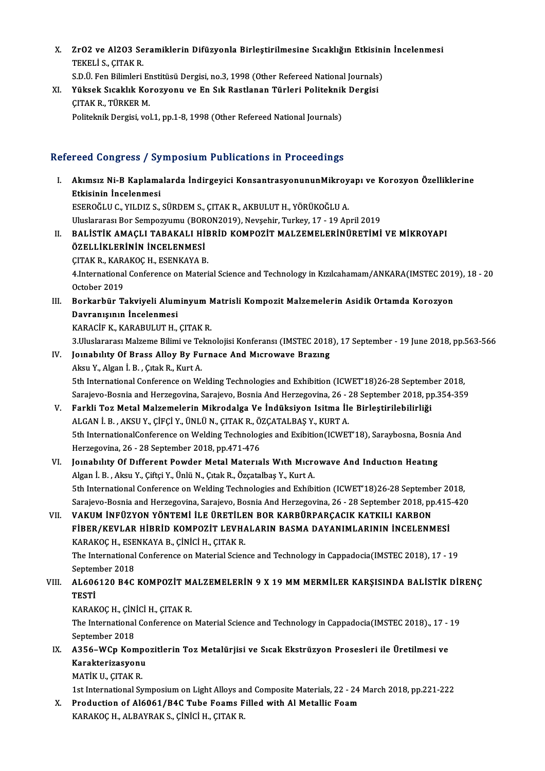- X. ZrO2 ve Al2O3 Seramiklerin Difüzyonla Birleştirilmesine Sıcaklığın Etkisinin İncelenmesi **ZrO2 ve Al2O3 Se<br>TEKELİ S., ÇITAK R.<br>S.D.Ü. Een Bilimleri** ZrO2 ve Al2O3 Seramiklerin Difüzyonla Birleştirilmesine Sıcaklığın Etkisini<br>TEKELİ S., ÇITAK R.<br>S.D.Ü. Fen Bilimleri Enstitüsü Dergisi, no.3, 1998 (Other Refereed National Journals)<br>Vükaak Sıcaklık Kanayyanu ve En Sık Bast
- TEKELİ S., ÇITAK R.<br>S.D.Ü. Fen Bilimleri Enstitüsü Dergisi, no.3, 1998 (Other Refereed National Journals)<br>XI. Yüksek Sıcaklık Korozyonu ve En Sık Rastlanan Türleri Politeknik Dergisi<br>CITAK B. TÜRKER M S.D.Ü. Fen Bilimleri Er<br>Yüksek Sıcaklık Koı<br>ÇITAK R., TÜRKER M.<br>Politelmik Dergisi vel Yüksek Sıcaklık Korozyonu ve En Sık Rastlanan Türleri Politeknik<br>ÇITAK R., TÜRKER M.<br>Politeknik Dergisi, vol.1, pp.1-8, 1998 (Other Refereed National Journals)

# Politeknik Dergisi, vol.1, pp.1-8, 1998 (Other Refereed National Journals)<br>Refereed Congress / Symposium Publications in Proceedings

- efereed Congress / Symposium Publications in Proceedings<br>I. Akımsız Ni-B Kaplamalarda İndirgeyici KonsantrasyonununMikroyapı ve Korozyon Özelliklerine<br>Etkisinin İngelenmesi Etkisinin İncelenmesi<br>Etkisinin İncelenmesi<br>ESEROČLU C. VU DIZ S Akımsız Ni-B Kaplamalarda İndirgeyici KonsantrasyonununMikroy<br>Etkisinin İncelenmesi<br>ESEROĞLU C., YILDIZ S., SÜRDEM S., ÇITAK R., AKBULUT H., YÖRÜKOĞLU A.<br>Uluslararası Bar Sampagyumu (BORON2019) Navçebir Turkay 17, 19 An Etkisinin İncelenmesi<br>ESEROĞLU C., YILDIZ S., SÜRDEM S., ÇITAK R., AKBULUT H., YÖRÜKOĞLU A.<br>Uluslararası Bor Sempozyumu (BORON2019), Nevşehir, Turkey, 17 - 19 April 2019<br>PALİSTİK AMACLI TARAKALL HİRRİD KOMBOZİT MALZEMELERİ ESEROĞLU C., YILDIZ S., SÜRDEM S., ÇITAK R., AKBULUT H., YÖRÜKOĞLU A.<br>Uluslararası Bor Sempozyumu (BORON2019), Nevşehir, Turkey, 17 - 19 April 2019<br>II. BALİSTİK AMAÇLI TABAKALI HİBRİD KOMPOZİT MALZEMELERİNÜRETİMİ VE MİKROY Uluslararası Bor Sempozyumu (BOR<br>BALİSTİK AMAÇLI TABAKALI Hİ<br>ÖZELLİKLERİNİN İNCELENMESİ<br>CITAK B. KARAKOC U. FSENKAYA B ÇITAKR.,KARAKOÇH.,ESENKAYAB. ÖZELLİKLERİNİN İNCELENMESİ<br>ÇITAK R., KARAKOÇ H., ESENKAYA B.<br>4.International Conference on Material Science and Technology in Kızılcahamam/ANKARA(IMSTEC 2019), 18 - 20<br>Ostabar 2019 CITAK R., KAR.<br>4.International<br>October 2019<br>Borkorbün Te 4.International Conference on Material Science and Technology in Kızılcahamam/ANKARA(IMSTEC 201'<br>October 2019<br>III. Borkarbür Takviyeli Aluminyum Matrisli Kompozit Malzemelerin Asidik Ortamda Korozyon<br>Dayranısının İncelenme October 2019<br>Borkarbür Takviyeli Alum<br>Davranışının İncelenmesi<br>KARAÇİE K. KARAPIJI JITH Borkarbür Takviyeli Aluminyum M<br>Davranışının İncelenmesi<br>KARACİF K., KARABULUT H., ÇITAK R.<br>2 Huslararası Malzama Bilimi ve Talm Davranışının İncelenmesi<br>KARACİF K., KARABULUT H., ÇITAK R.<br>3.Uluslararası Malzeme Bilimi ve Teknolojisi Konferansı (IMSTEC 2018), 17 September - 19 June 2018, pp.563-566 KARACİF K., KARABULUT H., ÇITAK R.<br>3.Uluslararası Malzeme Bilimi ve Teknolojisi Konferansı (IMSTEC 2018<br>IV. Jounabılıty Of Brass Alloy By Furnace And Mıcrowave Brazıng<br>Alsu Y. Alsan İ. B., Citak B. Kurt A. 3.Uluslararası Malzeme Bilimi ve Te<br>Joinability Of Brass Alloy By Fu<br>Aksu Y., Algan İ. B. , Çıtak R., Kurt A.<br>Eth International Conference on W. 5 Joinability Of Brass Alloy By Furnace And Microwave Brazing<br>Aksu Y., Algan İ. B. , Çitak R., Kurt A.<br>5th International Conference on Welding Technologies and Exhibition (ICWET'18)26-28 September 2018,<br>Sarajaya Basnia and Aksu Y., Algan İ. B. , Çıtak R., Kurt A.<br>5th International Conference on Welding Technologies and Exhibition (ICWET'18)26-28 September 2018,<br>Sarajevo-Bosnia and Herzegovina, Sarajevo, Bosnia And Herzegovina, 26 - 28 Septem 5th International Conference on Welding Technologies and Exhibition (ICWET'18)26-28 Septemb<br>Sarajevo-Bosnia and Herzegovina, Sarajevo, Bosnia And Herzegovina, 26 - 28 September 2018, pp<br>V. Farkli Toz Metal Malzemelerin Mik Sarajevo-Bosnia and Herzegovina, Sarajevo, Bosnia And Herzegovina, 26 - 28 September 2018, pp.354-359<br>V. Farkli Toz Metal Malzemelerin Mikrodalga Ve İndüksiyon Isitma İle Birleştirilebilirliği<br>ALGAN İ. B. , AKSU Y., ÇİF Farkli Toz Metal Malzemelerin Mikrodalga Ve İndüksiyon Isitma İle Birleştirilebilirliği<br>ALGAN İ. B. , AKSU Y., ÇİFÇİ Y., ÜNLÜ N., ÇITAK R., ÖZÇATALBAŞ Y., KURT A.<br>5th InternationalConference on Welding Technologies and Exi ALGAN İ. B. , AKSU Y., ÇİFÇİ Y., ÜNLÜ N., ÇITAK R., Ö.<br>5th InternationalConference on Welding Technolog<br>Herzegovina, 26 - 28 September 2018, pp.471-476<br>Jourshulty Of Different Bourder Metal Materia 5th InternationalConference on Welding Technologies and Exibition (ICWET'18), Saraybosna, Bosni<br>Herzegovina, 26 - 28 September 2018, pp.471-476<br>VI. Jounabılıty Of Different Powder Metal Materials With Microwave And Inducti Herzegovina, 26 - 28 September 2018, pp.471-476<br>VI. Joinability Of Different Powder Metal Materials With Microwave And Induction Heating<br>Algan İ. B. , Aksu Y., Çiftçi Y., Ünlü N., Çıtak R., Özçatalbaş Y., Kurt A. 5th International Conference on Welding Technologies and Exhibition (ICWET'18)26-28 September 2018, Algan İ. B. , Aksu Y., Çiftçi Y., Ünlü N., Çıtak R., Özçatalbaş Y., Kurt A.<br>5th International Conference on Welding Technologies and Exhibition (ICWET'18)26-28 September 2018,<br>Sarajevo-Bosnia and Herzegovina, Sarajevo, Bos 5th International Conference on Welding Technologies and Exhibition (ICWET'18)26-28 Septemb<br>Sarajevo-Bosnia and Herzegovina, Sarajevo, Bosnia And Herzegovina, 26 - 28 September 2018, pp<br>VII. Sarajevo-Bosnia and Herzegovina, Sarajevo, Bosnia And Herzegovina, 26 - 28 September 2018, pp.415<br>VAKUM İNFÜZYON YÖNTEMİ İLE ÜRETİLEN BOR KARBÜRPARÇACIK KATKILI KARBON<br>FİBER/KEVLAR HİBRİD KOMPOZİT LEVHALARIN BASMA DAYANIML VAKUM İNFÜZYON YÖNTEMİ İLE ÜRETİLE<br>FİBER/KEVLAR HİBRİD KOMPOZİT LEVH*I*<br>KARAKOÇ H., ESENKAYA B., ÇİNİCİ H., ÇITAK R.<br>The International Conference on Material Scien FİBER/KEVLAR HİBRİD KOMPOZİT LEVHALARIN BASMA DAYANIMLARININ İNCELENMESİ<br>KARAKOÇ H., ESENKAYA B., ÇİNİCİ H., ÇITAK R.<br>The International Conference on Material Science and Technology in Cappadocia(IMSTEC 2018), 17 - 19<br>Sent KARAKOÇ H., ESE<br>The International<br>September 2018<br>AL 606120 BAC The International Conference on Material Science and Technology in Cappadocia(IMSTEC 2018), 17 - 19<br>September 2018<br>VIII. AL606120 B4C KOMPOZİT MALZEMELERİN 9 X 19 MM MERMİLER KARŞISINDA BALİSTİK DİRENÇ<br>TESTİ Septem<br>AL606<br>TESTİ<br>KARAR AL606120 B4C KOMPOZİT M.<br>TESTİ<br>KARAKOÇ H., ÇİNİCİ H., ÇITAK R.<br>The International Conference on TESTİ<br>KARAKOÇ H., ÇİNİCİ H., ÇITAK R.<br>The International Conference on Material Science and Technology in Cappadocia(IMSTEC 2018)., 17 - 19<br>Sentember 2018 KARAKOÇ H., ÇİN<br>The International<br>September 2018<br>A256, WCn Kom The International Conference on Material Science and Technology in Cappadocia(IMSTEC 2018)., 17 -<br>September 2018<br>IX. A356–WCp Kompozitlerin Toz Metalürjisi ve Sıcak Ekstrüzyon Prosesleri ile Üretilmesi ve<br>Kapaktarinasıyon September 2018<br><mark>A356-WCp Kompo</mark><br>Karakterizasyonu<br>MAT<sup>i</sup>K U. CITAK P A356–WCp Komp<br>Karakterizasyonu<br>MATİK U., ÇITAK R.<br>1st International Su Karakterizasyonu<br>MATİK U., ÇITAK R.<br>1st International Symposium on Light Alloys and Composite Materials, 22 - 24 March 2018, pp.221-222 X. Production of Al6061/B4C Tube Foams Filled with Al Metallic Foam
	- KARAKOÇH.,ALBAYRAKS.,ÇİNİCİH.,ÇITAKR.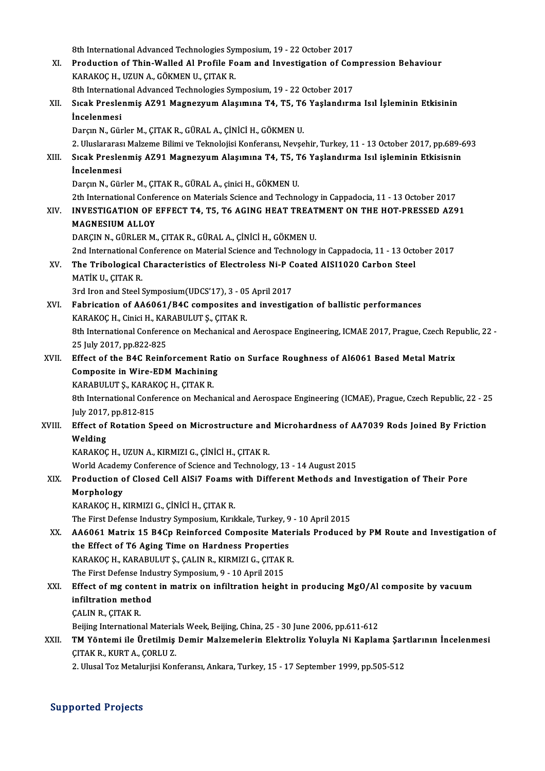8th International Advanced Technologies Symposium, 19 - 22 October 2017

8th International Advanced Technologies Symposium, 19 - 22 October 2017<br>XI. Production of Thin-Walled Al Profile Foam and Investigation of Compression Behaviour 8th International Advanced Technologies Sy<br>Production of Thin-Walled Al Profile Fo<br>KARAKOÇ H., UZUN A., GÖKMEN U., ÇITAK R.<br><sup>9th International Advanced Technologies Sy</sup> Production of Thin-Walled Al Profile Foam and Investigation of Con<br>KARAKOÇ H., UZUN A., GÖKMEN U., ÇITAK R.<br>8th International Advanced Technologies Symposium, 19 - 22 October 2017<br>Steak Proclanmia AZ91 Magnosuum Alasumua T KARAKOÇ H., UZUN A., GÖKMEN U., ÇITAK R.<br>8th International Advanced Technologies Symposium, 19 - 22 October 2017<br>XII. Sıcak Preslenmiş AZ91 Magnezyum Alaşımına T4, T5, T6 Yaşlandırma Isıl İşleminin Etkisinin<br>İncelenmes 8th International Advanced Technologies Symposium, 19 - 22 October 2017 Darçın N., Gürler M., ÇITAK R., GÜRAL A., ÇİNİCİ H., GÖKMEN U. 2. Uluslararası Malzeme Bilimi ve Teknolojisi Konferansı, Nevşehir, Turkey, 11 - 13 October 2017, pp.689-693 Darçın N., Gürler M., ÇITAK R., GÜRAL A., ÇİNİCİ H., GÖKMEN U.<br>2. Uluslararası Malzeme Bilimi ve Teknolojisi Konferansı, Nevşehir, Turkey, 11 - 13 October 2017, pp.689-6<br>XIII. Sıcak Preslenmiş AZ91 Magnezyum Alaşımına 2. Uluslararas<br>Sıcak Presle<br>İncelenmesi<br><sup>Daran N. Gür</sup> Sıcak Preslenmiş AZ91 Magnezyum Alaşımına T4, T5, T<br>İncelenmesi<br>Darçın N., Gürler M., ÇITAK R., GÜRAL A., çinici H., GÖKMEN U.<br><sup>2th International Conference on Materials Science and Techne</sup> İncelenmesi<br>Darçın N., Gürler M., ÇITAK R., GÜRAL A., çinici H., GÖKMEN U.<br>2th International Conference on Materials Science and Technology in Cappadocia, 11 - 13 October 2017<br>INVESTIC ATION OF EEEECT TA, TE, TE ACINC, HEA Darçın N., Gürler M., ÇITAK R., GÜRAL A., çinici H., GÖKMEN U.<br>2th International Conference on Materials Science and Technology in Cappadocia, 11 - 13 October 2017<br>XIV. INVESTIGATION OF EFFECT T4, T5, T6 AGING HEAT TRE 2th International Conferent<br>INVESTIGATION OF INAGNESIUM ALLOY INVESTIGATION OF EFFECT T4, T5, T6 AGING HEAT TREATMENT ON THE HOT-PRESSED AZ91<br>MAGNESIUM ALLOY<br>DARÇIN N., GÜRLER M., ÇITAK R., GÜRAL A., ÇİNİCİ H., GÖKMEN U. MAGNESIUM ALLOY<br>DARÇIN N., GÜRLER M., ÇITAK R., GÜRAL A., ÇİNİCİ H., GÖKMEN U.<br>2nd International Conference on Material Science and Technology in Cappadocia, 11 - 13 October 2017<br>The Tribologiael Characteristics of Electro DARÇIN N., GÜRLER M., ÇITAK R., GÜRAL A., ÇİNİCİ H., GÖKMEN U.<br>2nd International Conference on Material Science and Technology in Cappadocia, 11 - 13 Octon Steel<br>XV. The Tribological Characteristics of Electroless Ni-P 2nd International C<br>The Tribological<br>MATİK U., ÇITAK R.<br><sup>2nd Inon ond Steel 1</sup> The Tribological Characteristics of Electroless Ni-P C<br>MATİK U., ÇITAK R.<br>3rd Iron and Steel Symposium(UDCS'17), 3 - 05 April 2017<br>Febrication of AA6061/B4C composites and investist MATİK U., ÇITAK R.<br>3rd Iron and Steel Symposium(UDCS'17), 3 - 05 April 2017<br>XVI. Fabrication of AA6061/B4C composites and investigation of ballistic performances<br>XARAKOC H. Cinisi H. KARABULUTS, CITAK R. 3rd Iron and Steel Symposium(UDCS'17), 3 - 05<br>Fabrication of AA6061/B4C composites an<br>KARAKOÇ H., Cinici H., KARABULUT Ş., ÇITAK R.<br><sup>9th</sup> International Conference on Mechanical and 8th International Conference on Mechanical and Aerospace Engineering, ICMAE 2017, Prague, Czech Republic, 22 -<br>25 July 2017, pp.822-825 KARAKOÇ H., Cinici H., KARABULUT Ş., ÇITAK R. 8th International Conference on Mechanical and Aerospace Engineering, ICMAE 2017, Prague, Czech Rep<br>25 July 2017, pp.822-825<br>XVII. Effect of the B4C Reinforcement Ratio on Surface Roughness of Al6061 Based Metal Matrix 25 July 2017, pp.822-825<br>Effect of the B4C Reinforcement Ra<br>Composite in Wire-EDM Machining<br>KARAPULUTS KARAKOCH CITAK R Effect of the B4C Reinforcement R<br>Composite in Wire-EDM Machining<br>KARABULUT Ş., KARAKOÇ H., ÇITAK R.<br><sup>9th International Conference</sup> on Mesh 8th International Conference on Mechanical and Aerospace Engineering (ICMAE), Prague, Czech Republic, 22 - 25<br>8th International Conference on Mechanical and Aerospace Engineering (ICMAE), Prague, Czech Republic, 22 - 25<br>Ju KARABULUT Ş., KARAK<br>8th International Confe<br>July 2017, pp.812-815<br>Effect of Botation Sp 8th International Conference on Mechanical and Aerospace Engineering (ICMAE), Prague, Czech Republic, 22 - 2!<br>July 2017, pp.812-815<br>XVIII. Effect of Rotation Speed on Microstructure and Microhardness of AA7039 Rods Joined July 2017<br>**Effect of**<br>Welding<br>KARAKOC Effect of Rotation Speed on Microstructure and<br>Welding<br>KARAKOÇ H., UZUN A., KIRMIZI G., ÇİNİCİ H., ÇITAK R.<br>Werld Asademy Conference of Science and Technolog Welding<br>KARAKOÇ H., UZUN A., KIRMIZI G., ÇİNİCİ H., ÇITAK R.<br>World Academy Conference of Science and Technology, 13 - 14 August 2015<br>Production of Closed Coll AlSi7 Feeme with Different Methods and J KARAKOÇ H., UZUN A., KIRMIZI G., ÇİNİCİ H., ÇITAK R.<br>World Academy Conference of Science and Technology, 13 - 14 August 2015<br>XIX. Production of Closed Cell AlSi7 Foams with Different Methods and Investigation of Their Pore World Academ<br><mark>Production o</mark><br>Morphology<br>KARAKOC H KARAKOÇ H., KIRMIZI G., ÇİNİCİ H., ÇITAKR. The First Defense Industry Symposium, Kırıkkale, Turkey, 9 - 10 April 2015 XX. AA6061 Matrix 15 B4Cp Reinforced Composite Materials Produced by PM Route and Investigation of The First Defense Industry Symposium, Kırıkkale, Turkey, 9<br>AA6061 Matrix 15 B4Cp Reinforced Composite Mate<br>the Effect of T6 Aging Time on Hardness Properties<br>KARAKOCH, KARARIJUTES, CALIN R, KIRMIZLG, CITAK R AA6061 Matrix 15 B4Cp Reinforced Composite Mater<br>the Effect of T6 Aging Time on Hardness Properties<br>KARAKOÇ H., KARABULUT Ş., ÇALIN R., KIRMIZI G., ÇITAK R.<br>The First Defense Industry Symposium 9 - 10 April 2015 the Effect of T6 Aging Time on Hardness Properties<br>KARAKOÇ H., KARABULUT Ş., ÇALIN R., KIRMIZI G., ÇITAK<br>The First Defense Industry Symposium, 9 - 10 April 2015<br>Effect of me content in metrix on infiltration boishi KARAKOÇ H., KARABULUT Ş., ÇALIN R., KIRMIZI G., ÇITAK R.<br>The First Defense Industry Symposium, 9 - 10 April 2015<br>XXI. Beffect of mg content in matrix on infiltration height in producing MgO/Al composite by vacuum<br>infiltrat The First Defense Indi<br>Effect of mg content<br>infiltration method<br>CALIN B. CITAK B Effect of mg cont<br>infiltration meth<br>ÇALIN R., ÇITAK R.<br>Pojjing Internation infiltration method<br>ÇALIN R., ÇITAK R.<br>Beijing International Materials Week, Beijing, China, 25 - 30 June 2006, pp.611-612<br>TM Vöntomi ile Ünetilmis Demir Melzemelerin Elektroliz Veluvle Ni Kenler CALIN R., ÇITAK R.<br>Beijing International Materials Week, Beijing, China, 25 - 30 June 2006, pp.611-612<br>XXII. TM Yöntemi ile Üretilmiş Demir Malzemelerin Elektroliz Yoluyla Ni Kaplama Şartlarının İncelenmesi<br>CITAV R. KU Beijing International Materia<br>**TM Yöntemi ile Üretilmiş**<br>ÇITAK R., KURT A., ÇORLU Z.<br>2. Ulugel Tex Matelurijai Kon TM Yöntemi ile Üretilmiş Demir Malzemelerin Elektroliz Yoluyla Ni Kaplama Şar<br>ÇITAK R., KURT A., ÇORLU Z.<br>2. Ulusal Toz Metalurjisi Konferansı, Ankara, Turkey, 15 - 17 September 1999, pp.505-512 2. Ulusal Toz Metalurjisi Konferansı, Ankara, Turkey, 15 - 17 September 1999, pp.505-512<br>Supported Projects